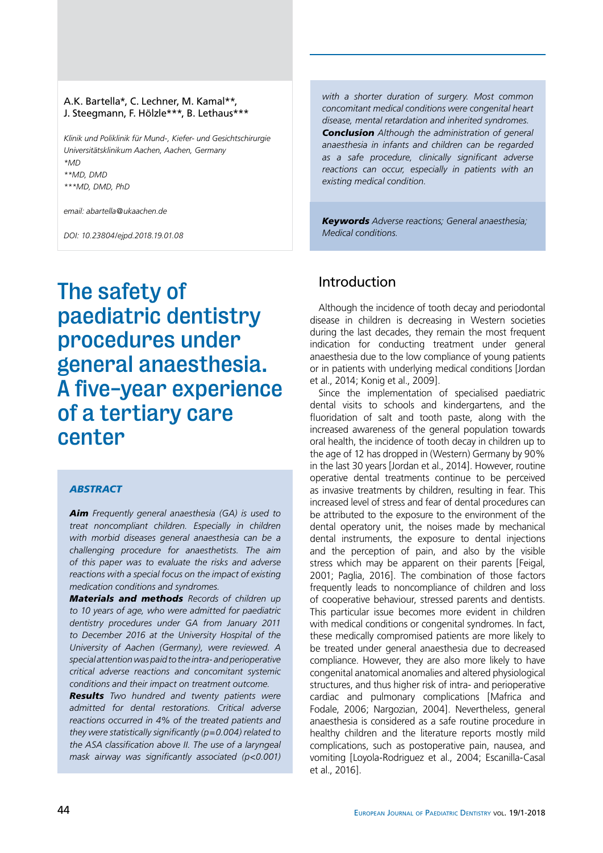#### A.K. Bartella\*, C. Lechner, M. Kamal\*\*, J. Steegmann, F. Hölzle\*\*\*, B. Lethaus\*\*\*

*Klinik und Poliklinik für Mund-, Kiefer- und Gesichtschirurgie Universitätsklinikum Aachen, Aachen, Germany \*MD \*\*MD, DMD \*\*\*MD, DMD, PhD*

*email: abartella@ukaachen.de*

*DOI: 10.23804/ejpd.2018.19.01.08*

# The safety of paediatric dentistry procedures under general anaesthesia. A five-year experience of a tertiary care center

#### *abstract*

*Aim Frequently general anaesthesia (GA) is used to treat noncompliant children. Especially in children with morbid diseases general anaesthesia can be a challenging procedure for anaesthetists. The aim of this paper was to evaluate the risks and adverse reactions with a special focus on the impact of existing medication conditions and syndromes.*

*Materials and methods Records of children up to 10 years of age, who were admitted for paediatric dentistry procedures under GA from January 2011 to December 2016 at the University Hospital of the University of Aachen (Germany), were reviewed. A special attention was paid to the intra- and perioperative critical adverse reactions and concomitant systemic conditions and their impact on treatment outcome.*

*Results Two hundred and twenty patients were admitted for dental restorations. Critical adverse reactions occurred in 4% of the treated patients and they were statistically significantly (p=0.004) related to the ASA classification above II. The use of a laryngeal mask airway was significantly associated (p<0.001)* 

*with a shorter duration of surgery. Most common concomitant medical conditions were congenital heart disease, mental retardation and inherited syndromes. Conclusion Although the administration of general anaesthesia in infants and children can be regarded as a safe procedure, clinically significant adverse reactions can occur, especially in patients with an existing medical condition.*

*Keywords Adverse reactions; General anaesthesia; Medical conditions.*

#### Introduction

Although the incidence of tooth decay and periodontal disease in children is decreasing in Western societies during the last decades, they remain the most frequent indication for conducting treatment under general anaesthesia due to the low compliance of young patients or in patients with underlying medical conditions [Jordan et al., 2014; Konig et al., 2009].

Since the implementation of specialised paediatric dental visits to schools and kindergartens, and the fluoridation of salt and tooth paste, along with the increased awareness of the general population towards oral health, the incidence of tooth decay in children up to the age of 12 has dropped in (Western) Germany by 90% in the last 30 years [Jordan et al., 2014]. However, routine operative dental treatments continue to be perceived as invasive treatments by children, resulting in fear. This increased level of stress and fear of dental procedures can be attributed to the exposure to the environment of the dental operatory unit, the noises made by mechanical dental instruments, the exposure to dental injections and the perception of pain, and also by the visible stress which may be apparent on their parents [Feigal, 2001; Paglia, 2016]. The combination of those factors frequently leads to noncompliance of children and loss of cooperative behaviour, stressed parents and dentists. This particular issue becomes more evident in children with medical conditions or congenital syndromes. In fact, these medically compromised patients are more likely to be treated under general anaesthesia due to decreased compliance. However, they are also more likely to have congenital anatomical anomalies and altered physiological structures, and thus higher risk of intra- and perioperative cardiac and pulmonary complications [Mafrica and Fodale, 2006; Nargozian, 2004]. Nevertheless, general anaesthesia is considered as a safe routine procedure in healthy children and the literature reports mostly mild complications, such as postoperative pain, nausea, and vomiting [Loyola-Rodriguez et al., 2004; Escanilla-Casal et al., 2016].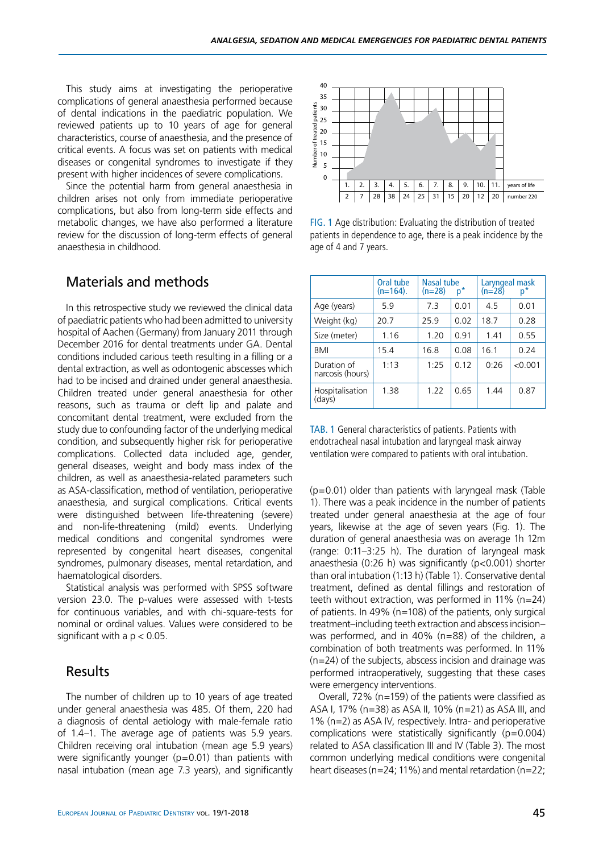This study aims at investigating the perioperative complications of general anaesthesia performed because of dental indications in the paediatric population. We reviewed patients up to 10 years of age for general characteristics, course of anaesthesia, and the presence of critical events. A focus was set on patients with medical diseases or congenital syndromes to investigate if they present with higher incidences of severe complications.

Since the potential harm from general anaesthesia in children arises not only from immediate perioperative complications, but also from long-term side effects and metabolic changes, we have also performed a literature review for the discussion of long-term effects of general anaesthesia in childhood.

## Materials and methods

In this retrospective study we reviewed the clinical data of paediatric patients who had been admitted to university hospital of Aachen (Germany) from January 2011 through December 2016 for dental treatments under GA. Dental conditions included carious teeth resulting in a filling or a dental extraction, as well as odontogenic abscesses which had to be incised and drained under general anaesthesia. Children treated under general anaesthesia for other reasons, such as trauma or cleft lip and palate and concomitant dental treatment, were excluded from the study due to confounding factor of the underlying medical condition, and subsequently higher risk for perioperative complications. Collected data included age, gender, general diseases, weight and body mass index of the children, as well as anaesthesia-related parameters such as ASA-classification, method of ventilation, perioperative anaesthesia, and surgical complications. Critical events were distinguished between life-threatening (severe) and non-life-threatening (mild) events. Underlying medical conditions and congenital syndromes were represented by congenital heart diseases, congenital syndromes, pulmonary diseases, mental retardation, and haematological disorders.

Statistical analysis was performed with SPSS software version 23.0. The p-values were assessed with t-tests for continuous variables, and with chi-square-tests for nominal or ordinal values. Values were considered to be significant with a  $p < 0.05$ .

## Results

The number of children up to 10 years of age treated under general anaesthesia was 485. Of them, 220 had a diagnosis of dental aetiology with male-female ratio of 1.4–1. The average age of patients was 5.9 years. Children receiving oral intubation (mean age 5.9 years) were significantly younger (p=0.01) than patients with nasal intubation (mean age 7.3 years), and significantly



Fig. 1 Age distribution: Evaluating the distribution of treated patients in dependence to age, there is a peak incidence by the age of 4 and 7 years.

|                                 | Oral tube<br>$(n=164)$ . | Nasal tube<br>$(n=28)$<br>p* |      | Laryngeal mask<br>(n=28) p*<br>$p^*$ |         |
|---------------------------------|--------------------------|------------------------------|------|--------------------------------------|---------|
| Age (years)                     | 59                       | 7.3                          | 0.01 | 45                                   | 0.01    |
| Weight (kg)                     | 20.7                     | 259                          | 0.02 | 18.7                                 | 0.28    |
| Size (meter)                    | 1.16                     | 1.20                         | 0.91 | 1.41                                 | 0.55    |
| <b>BMI</b>                      | 15.4                     | 16.8                         | 0.08 | 16.1                                 | 0.24    |
| Duration of<br>narcosis (hours) | 1:13                     | 1:25                         | 0.12 | 0.26                                 | < 0.001 |
| Hospitalisation<br>(days)       | 1.38                     | 1.22                         | 0.65 | 1.44                                 | 0.87    |

TAB. 1 General characteristics of patients. Patients with endotracheal nasal intubation and laryngeal mask airway ventilation were compared to patients with oral intubation.

(p=0.01) older than patients with laryngeal mask (Table 1). There was a peak incidence in the number of patients treated under general anaesthesia at the age of four years, likewise at the age of seven years (Fig. 1). The duration of general anaesthesia was on average 1h 12m (range: 0:11–3:25 h). The duration of laryngeal mask anaesthesia (0:26 h) was significantly (p<0.001) shorter than oral intubation (1:13 h) (Table 1). Conservative dental treatment, defined as dental fillings and restoration of teeth without extraction, was performed in 11% (n=24) of patients. In 49% (n=108) of the patients, only surgical treatment–including teeth extraction and abscess incision– was performed, and in 40% (n=88) of the children, a combination of both treatments was performed. In 11% (n=24) of the subjects, abscess incision and drainage was performed intraoperatively, suggesting that these cases were emergency interventions.

Overall, 72% (n=159) of the patients were classified as ASA I, 17% (n=38) as ASA II, 10% (n=21) as ASA III, and 1% (n=2) as ASA IV, respectively. Intra- and perioperative complications were statistically significantly (p=0.004) related to ASA classification III and IV (Table 3). The most common underlying medical conditions were congenital heart diseases (n=24; 11%) and mental retardation (n=22;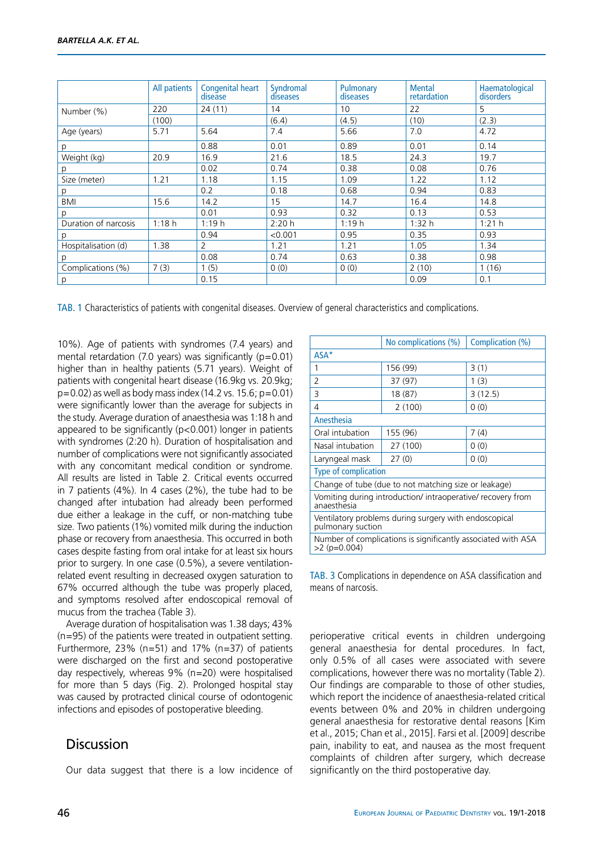|                      | All patients | Congenital heart<br>disease | Syndromal<br>diseases | Pulmonary<br>diseases | <b>Mental</b><br>retardation | Haematological<br>disorders |
|----------------------|--------------|-----------------------------|-----------------------|-----------------------|------------------------------|-----------------------------|
| Number (%)           | 220          | 24(11)                      | 14                    | 10                    | 22                           | 5                           |
|                      | (100)        |                             | (6.4)                 | (4.5)                 | (10)                         | (2.3)                       |
| Age (years)          | 5.71         | 5.64                        | 7.4                   | 5.66                  | 7.0                          | 4.72                        |
| р                    |              | 0.88                        | 0.01                  | 0.89                  | 0.01                         | 0.14                        |
| Weight (kg)          | 20.9         | 16.9                        | 21.6                  | 18.5                  | 24.3                         | 19.7                        |
|                      |              | 0.02                        | 0.74                  | 0.38                  | 0.08                         | 0.76                        |
| Size (meter)         | 1.21         | 1.18                        | 1.15                  | 1.09                  | 1.22                         | 1.12                        |
| р                    |              | 0.2                         | 0.18                  | 0.68                  | 0.94                         | 0.83                        |
| <b>BMI</b>           | 15.6         | 14.2                        | 15                    | 14.7                  | 16.4                         | 14.8                        |
| n                    |              | 0.01                        | 0.93                  | 0.32                  | 0.13                         | 0.53                        |
| Duration of narcosis | 1:18h        | 1:19h                       | 2:20h                 | 1:19h                 | 1:32 h                       | 1:21 h                      |
| Ŋ                    |              | 0.94                        | < 0.001               | 0.95                  | 0.35                         | 0.93                        |
| Hospitalisation (d)  | 1.38         | 2                           | 1.21                  | 1.21                  | 1.05                         | 1.34                        |
| n                    |              | 0.08                        | 0.74                  | 0.63                  | 0.38                         | 0.98                        |
| Complications (%)    | 7(3)         | 1(5)                        | 0(0)                  | 0(0)                  | 2(10)                        | 1(16)                       |
| р                    |              | 0.15                        |                       |                       | 0.09                         | 0.1                         |

TAB. 1 Characteristics of patients with congenital diseases. Overview of general characteristics and complications.

10%). Age of patients with syndromes (7.4 years) and mental retardation (7.0 years) was significantly ( $p=0.01$ ) higher than in healthy patients (5.71 years). Weight of patients with congenital heart disease (16.9kg vs. 20.9kg;  $p=0.02$ ) as well as body mass index (14.2 vs. 15.6;  $p=0.01$ ) were significantly lower than the average for subjects in the study. Average duration of anaesthesia was 1:18 h and appeared to be significantly (p<0.001) longer in patients with syndromes (2:20 h). Duration of hospitalisation and number of complications were not significantly associated with any concomitant medical condition or syndrome. All results are listed in Table 2. Critical events occurred in 7 patients (4%). In 4 cases (2%), the tube had to be changed after intubation had already been performed due either a leakage in the cuff, or non-matching tube size. Two patients (1%) vomited milk during the induction phase or recovery from anaesthesia. This occurred in both cases despite fasting from oral intake for at least six hours prior to surgery. In one case (0.5%), a severe ventilationrelated event resulting in decreased oxygen saturation to 67% occurred although the tube was properly placed, and symptoms resolved after endoscopical removal of mucus from the trachea (Table 3).

Average duration of hospitalisation was 1.38 days; 43% (n=95) of the patients were treated in outpatient setting. Furthermore, 23% (n=51) and 17% (n=37) of patients were discharged on the first and second postoperative day respectively, whereas 9% (n=20) were hospitalised for more than 5 days (Fig. 2). Prolonged hospital stay was caused by protracted clinical course of odontogenic infections and episodes of postoperative bleeding.

# **Discussion**

Our data suggest that there is a low incidence of

|                                                                                | No complications (%) | Complication (%) |  |  |  |  |
|--------------------------------------------------------------------------------|----------------------|------------------|--|--|--|--|
| $ASA^*$                                                                        |                      |                  |  |  |  |  |
| 1                                                                              | 156 (99)             | 3(1)             |  |  |  |  |
| 2                                                                              | 37 (97)              | 1(3)             |  |  |  |  |
| 3                                                                              | 18 (87)              | 3(12.5)          |  |  |  |  |
| 4                                                                              | 2(100)               | 0(0)             |  |  |  |  |
| Anesthesia                                                                     |                      |                  |  |  |  |  |
| Oral intubation                                                                | 155 (96)             | 7(4)             |  |  |  |  |
| Nasal intubation                                                               | 27 (100)             | 0(0)             |  |  |  |  |
| Laryngeal mask                                                                 | 27(0)                | 0(0)             |  |  |  |  |
| <b>Type of complication</b>                                                    |                      |                  |  |  |  |  |
| Change of tube (due to not matching size or leakage)                           |                      |                  |  |  |  |  |
| Vomiting during introduction/intraoperative/recovery from<br>anaesthesia       |                      |                  |  |  |  |  |
| Ventilatory problems during surgery with endoscopical<br>pulmonary suction     |                      |                  |  |  |  |  |
| Number of complications is significantly associated with ASA<br>$>2$ (p=0.004) |                      |                  |  |  |  |  |

TAB. 3 Complications in dependence on ASA classification and means of narcosis.

perioperative critical events in children undergoing general anaesthesia for dental procedures. In fact, only 0.5% of all cases were associated with severe complications, however there was no mortality (Table 2). Our findings are comparable to those of other studies, which report the incidence of anaesthesia-related critical events between 0% and 20% in children undergoing general anaesthesia for restorative dental reasons [Kim et al., 2015; Chan et al., 2015]. Farsi et al. [2009] describe pain, inability to eat, and nausea as the most frequent complaints of children after surgery, which decrease significantly on the third postoperative day.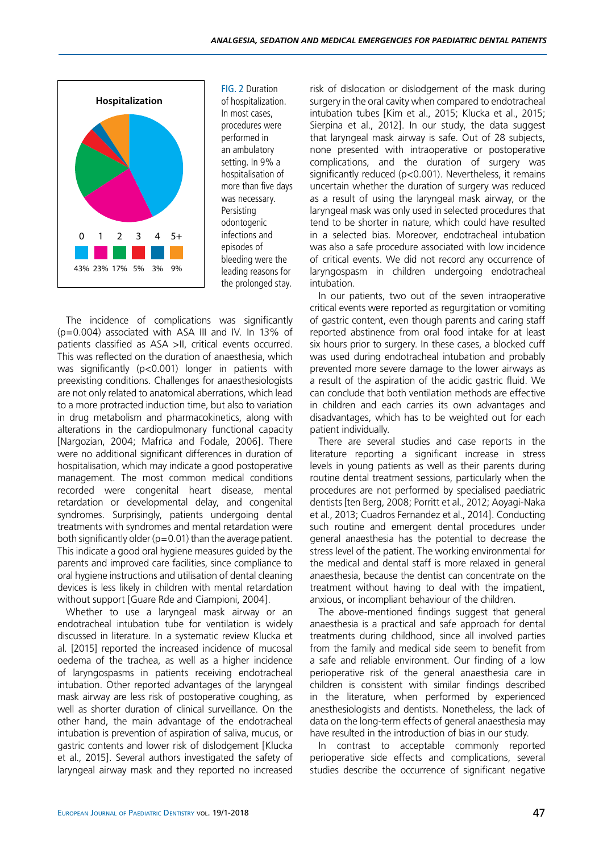

Fig. 2 Duration of hospitalization. In most cases, procedures were performed in an ambulatory setting. In 9% a hospitalisation of more than five days was necessary. Persisting odontogenic infections and episodes of bleeding were the leading reasons for the prolonged stay.

The incidence of complications was significantly (p=0.004) associated with ASA III and IV. In 13% of patients classified as ASA >II, critical events occurred. This was reflected on the duration of anaesthesia, which was significantly (p<0.001) longer in patients with preexisting conditions. Challenges for anaesthesiologists are not only related to anatomical aberrations, which lead to a more protracted induction time, but also to variation in drug metabolism and pharmacokinetics, along with alterations in the cardiopulmonary functional capacity [Nargozian, 2004; Mafrica and Fodale, 2006]. There were no additional significant differences in duration of hospitalisation, which may indicate a good postoperative management. The most common medical conditions recorded were congenital heart disease, mental retardation or developmental delay, and congenital syndromes. Surprisingly, patients undergoing dental treatments with syndromes and mental retardation were both significantly older ( $p=0.01$ ) than the average patient. This indicate a good oral hygiene measures guided by the parents and improved care facilities, since compliance to oral hygiene instructions and utilisation of dental cleaning devices is less likely in children with mental retardation without support [Guare Rde and Ciampioni, 2004].

Whether to use a laryngeal mask airway or an endotracheal intubation tube for ventilation is widely discussed in literature. In a systematic review Klucka et al. [2015] reported the increased incidence of mucosal oedema of the trachea, as well as a higher incidence of laryngospasms in patients receiving endotracheal intubation. Other reported advantages of the laryngeal mask airway are less risk of postoperative coughing, as well as shorter duration of clinical surveillance. On the other hand, the main advantage of the endotracheal intubation is prevention of aspiration of saliva, mucus, or gastric contents and lower risk of dislodgement [Klucka et al., 2015]. Several authors investigated the safety of laryngeal airway mask and they reported no increased risk of dislocation or dislodgement of the mask during surgery in the oral cavity when compared to endotracheal intubation tubes [Kim et al., 2015; Klucka et al., 2015; Sierpina et al., 2012]. In our study, the data suggest that laryngeal mask airway is safe. Out of 28 subjects, none presented with intraoperative or postoperative complications, and the duration of surgery was significantly reduced (p<0.001). Nevertheless, it remains uncertain whether the duration of surgery was reduced as a result of using the laryngeal mask airway, or the laryngeal mask was only used in selected procedures that tend to be shorter in nature, which could have resulted in a selected bias. Moreover, endotracheal intubation was also a safe procedure associated with low incidence of critical events. We did not record any occurrence of laryngospasm in children undergoing endotracheal intubation.

In our patients, two out of the seven intraoperative critical events were reported as regurgitation or vomiting of gastric content, even though parents and caring staff reported abstinence from oral food intake for at least six hours prior to surgery. In these cases, a blocked cuff was used during endotracheal intubation and probably prevented more severe damage to the lower airways as a result of the aspiration of the acidic gastric fluid. We can conclude that both ventilation methods are effective in children and each carries its own advantages and disadvantages, which has to be weighted out for each patient individually.

There are several studies and case reports in the literature reporting a significant increase in stress levels in young patients as well as their parents during routine dental treatment sessions, particularly when the procedures are not performed by specialised paediatric dentists [ten Berg, 2008; Porritt et al., 2012; Aoyagi-Naka et al., 2013; Cuadros Fernandez et al., 2014]. Conducting such routine and emergent dental procedures under general anaesthesia has the potential to decrease the stress level of the patient. The working environmental for the medical and dental staff is more relaxed in general anaesthesia, because the dentist can concentrate on the treatment without having to deal with the impatient, anxious, or incompliant behaviour of the children.

The above-mentioned findings suggest that general anaesthesia is a practical and safe approach for dental treatments during childhood, since all involved parties from the family and medical side seem to benefit from a safe and reliable environment. Our finding of a low perioperative risk of the general anaesthesia care in children is consistent with similar findings described in the literature, when performed by experienced anesthesiologists and dentists. Nonetheless, the lack of data on the long-term effects of general anaesthesia may have resulted in the introduction of bias in our study.

In contrast to acceptable commonly reported perioperative side effects and complications, several studies describe the occurrence of significant negative